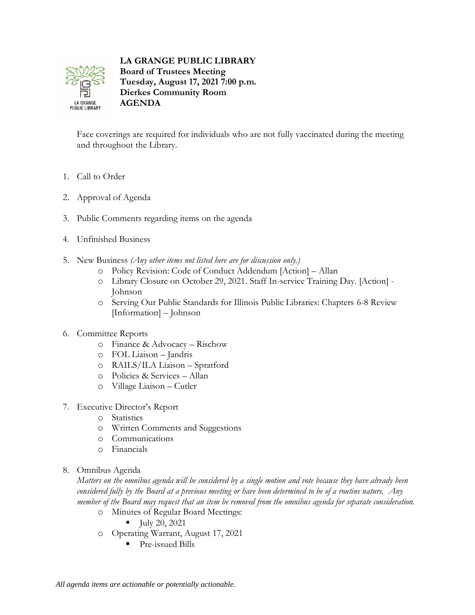

**LA GRANGE PUBLIC LIBRARY Board of Trustees Meeting Tuesday, August 17, 2021 7:00 p.m. Dierkes Community Room AGENDA**

Face coverings are required for individuals who are not fully vaccinated during the meeting and throughout the Library.

- 1. Call to Order
- 2. Approval of Agenda
- 3. Public Comments regarding items on the agenda
- 4. Unfinished Business
- 5. New Business *(Any other items not listed here are for discussion only.)*
	- o Policy Revision: Code of Conduct Addendum [Action] Allan
	- o Library Closure on October 29, 2021. Staff In-service Training Day. [Action] Johnson
	- o Serving Our Public Standards for Illinois Public Libraries: Chapters 6-8 Review [Information] – Johnson
- 6. Committee Reports
	- o Finance & Advocacy Rischow
	- o FOL Liaison Jandris
	- o RAILS/ILA Liaison Spratford
	- o Policies & Services Allan
	- o Village Liaison Cutler
- 7. Executive Director's Report
	- o Statistics
	- o Written Comments and Suggestions
	- o Communications
	- o Financials
- 8. Omnibus Agenda

*Matters on the omnibus agenda will be considered by a single motion and vote because they have already been considered fully by the Board at a previous meeting or have been determined to be of a routine nature. Any member of the Board may request that an item be removed from the omnibus agenda for separate consideration.*

- o Minutes of Regular Board Meetings:
	- $\blacksquare$   $\text{July } 20, 2021$
- o Operating Warrant, August 17, 2021
	- Pre-issued Bills